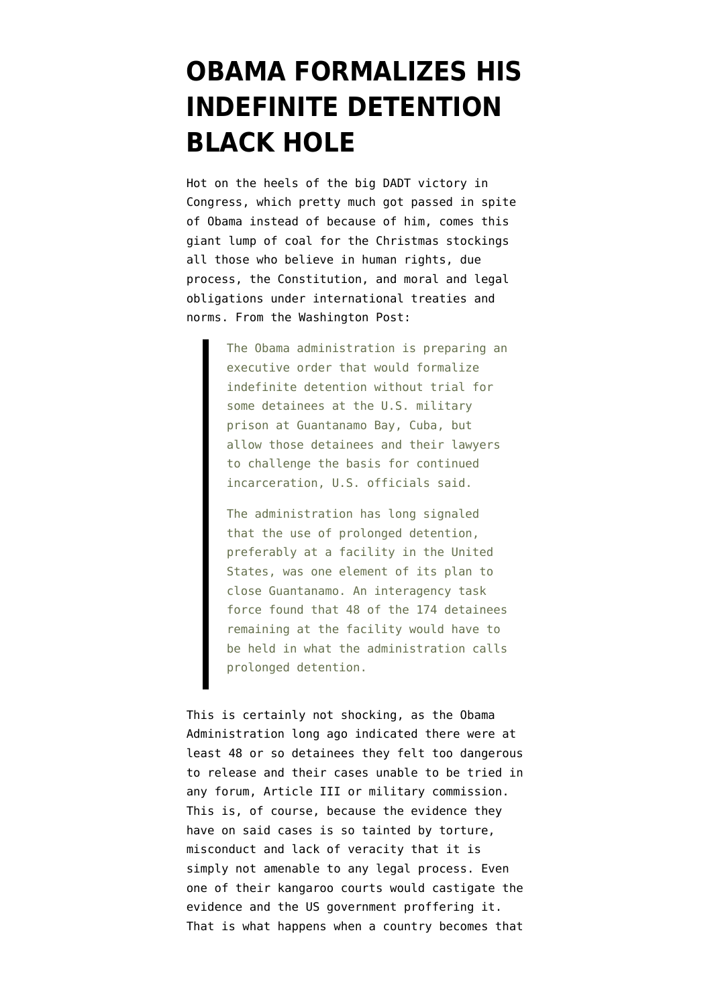## **[OBAMA FORMALIZES HIS](https://www.emptywheel.net/2010/12/21/obama-formalizes-his-indefinite-detention-black-hole/) [INDEFINITE DETENTION](https://www.emptywheel.net/2010/12/21/obama-formalizes-his-indefinite-detention-black-hole/) [BLACK HOLE](https://www.emptywheel.net/2010/12/21/obama-formalizes-his-indefinite-detention-black-hole/)**

Hot on the heels of the big DADT victory in Congress, which pretty much got passed in spite of Obama instead of because of him, comes this giant lump of coal for the Christmas stockings all those who believe in human rights, due process, the Constitution, and moral and legal obligations under international treaties and norms. From the [Washington Post:](http://www.washingtonpost.com/wp-dyn/content/article/2010/12/21/AR2010122104598.html)

> The Obama administration is preparing an executive order that would formalize indefinite detention without trial for some detainees at the U.S. military prison at Guantanamo Bay, Cuba, but allow those detainees and their lawyers to challenge the basis for continued incarceration, U.S. officials said.

> The administration has long signaled that the use of prolonged detention, preferably at a facility in the United States, was one element of its plan to close Guantanamo. An interagency task force found that 48 of the 174 detainees remaining at the facility would have to be held in what the administration calls prolonged detention.

This is certainly not shocking, as the Obama Administration long ago indicated there were at least 48 or so detainees they felt too dangerous to release and their cases unable to be tried in any forum, Article III or military commission. This is, of course, because the evidence they have on said cases is so tainted by torture, misconduct and lack of veracity that it is simply not amenable to any legal process. Even one of their kangaroo courts would castigate the evidence and the US government proffering it. That is what happens when a country becomes that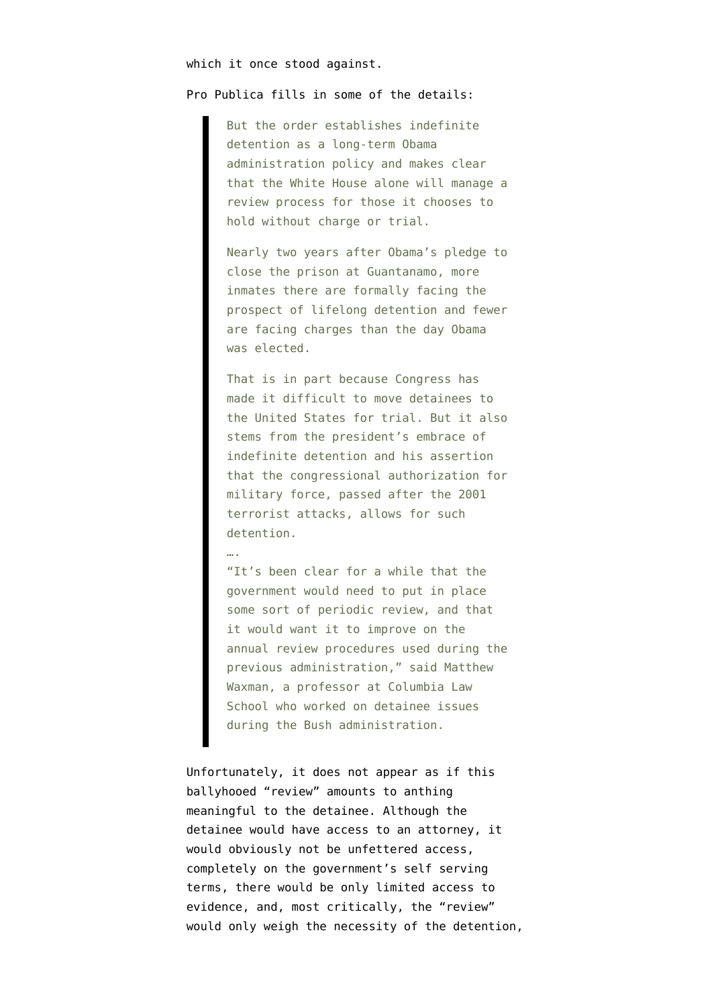## which it once stood against.

## [Pro Publica](http://www.propublica.org/article/white-house-drafts-executive-order-for-indefinite-detention) fills in some of the details:

But the order establishes indefinite detention as a long-term Obama administration policy and makes clear that the White House alone will manage a review process for those it chooses to hold without charge or trial.

Nearly two years after Obama's pledge to close the prison at Guantanamo, more inmates there are formally facing the prospect of lifelong detention and fewer are facing charges than the day Obama was elected.

That is in part because Congress has made it difficult to move detainees to the United States for trial. But it also stems from the president's embrace of indefinite detention and his assertion that the congressional authorization for military force, passed after the 2001 terrorist attacks, allows for such detention.

## ….

"It's been clear for a while that the government would need to put in place some sort of periodic review, and that it would want it to improve on the annual review procedures used during the previous administration," said Matthew Waxman, a professor at Columbia Law School who worked on detainee issues during the Bush administration.

Unfortunately, it does not appear as if this ballyhooed "review" amounts to anthing meaningful to the detainee. Although the detainee would have access to an attorney, it would obviously not be unfettered access, completely on the government's self serving terms, there would be only limited access to evidence, and, most critically, the "review" would only weigh the necessity of the detention,